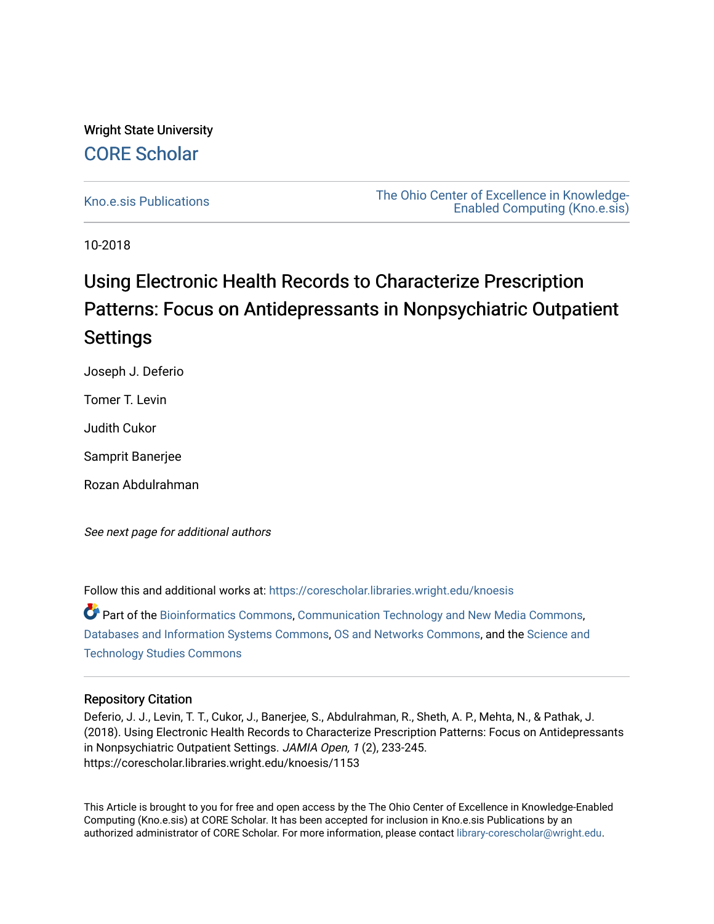# Wright State University [CORE Scholar](https://corescholar.libraries.wright.edu/)

[Kno.e.sis Publications](https://corescholar.libraries.wright.edu/knoesis) [The Ohio Center of Excellence in Knowledge-](https://corescholar.libraries.wright.edu/knoesis_comm)[Enabled Computing \(Kno.e.sis\)](https://corescholar.libraries.wright.edu/knoesis_comm) 

10-2018

# Using Electronic Health Records to Characterize Prescription Patterns: Focus on Antidepressants in Nonpsychiatric Outpatient **Settings**

Joseph J. Deferio

Tomer T. Levin

Judith Cukor

Samprit Banerjee

Rozan Abdulrahman

See next page for additional authors

Follow this and additional works at: [https://corescholar.libraries.wright.edu/knoesis](https://corescholar.libraries.wright.edu/knoesis?utm_source=corescholar.libraries.wright.edu%2Fknoesis%2F1153&utm_medium=PDF&utm_campaign=PDFCoverPages) 

Part of the [Bioinformatics Commons,](http://network.bepress.com/hgg/discipline/110?utm_source=corescholar.libraries.wright.edu%2Fknoesis%2F1153&utm_medium=PDF&utm_campaign=PDFCoverPages) [Communication Technology and New Media Commons,](http://network.bepress.com/hgg/discipline/327?utm_source=corescholar.libraries.wright.edu%2Fknoesis%2F1153&utm_medium=PDF&utm_campaign=PDFCoverPages) [Databases and Information Systems Commons](http://network.bepress.com/hgg/discipline/145?utm_source=corescholar.libraries.wright.edu%2Fknoesis%2F1153&utm_medium=PDF&utm_campaign=PDFCoverPages), [OS and Networks Commons](http://network.bepress.com/hgg/discipline/149?utm_source=corescholar.libraries.wright.edu%2Fknoesis%2F1153&utm_medium=PDF&utm_campaign=PDFCoverPages), and the [Science and](http://network.bepress.com/hgg/discipline/435?utm_source=corescholar.libraries.wright.edu%2Fknoesis%2F1153&utm_medium=PDF&utm_campaign=PDFCoverPages) [Technology Studies Commons](http://network.bepress.com/hgg/discipline/435?utm_source=corescholar.libraries.wright.edu%2Fknoesis%2F1153&utm_medium=PDF&utm_campaign=PDFCoverPages) 

# Repository Citation

Deferio, J. J., Levin, T. T., Cukor, J., Banerjee, S., Abdulrahman, R., Sheth, A. P., Mehta, N., & Pathak, J. (2018). Using Electronic Health Records to Characterize Prescription Patterns: Focus on Antidepressants in Nonpsychiatric Outpatient Settings. JAMIA Open, 1 (2), 233-245. https://corescholar.libraries.wright.edu/knoesis/1153

This Article is brought to you for free and open access by the The Ohio Center of Excellence in Knowledge-Enabled Computing (Kno.e.sis) at CORE Scholar. It has been accepted for inclusion in Kno.e.sis Publications by an authorized administrator of CORE Scholar. For more information, please contact [library-corescholar@wright.edu](mailto:library-corescholar@wright.edu).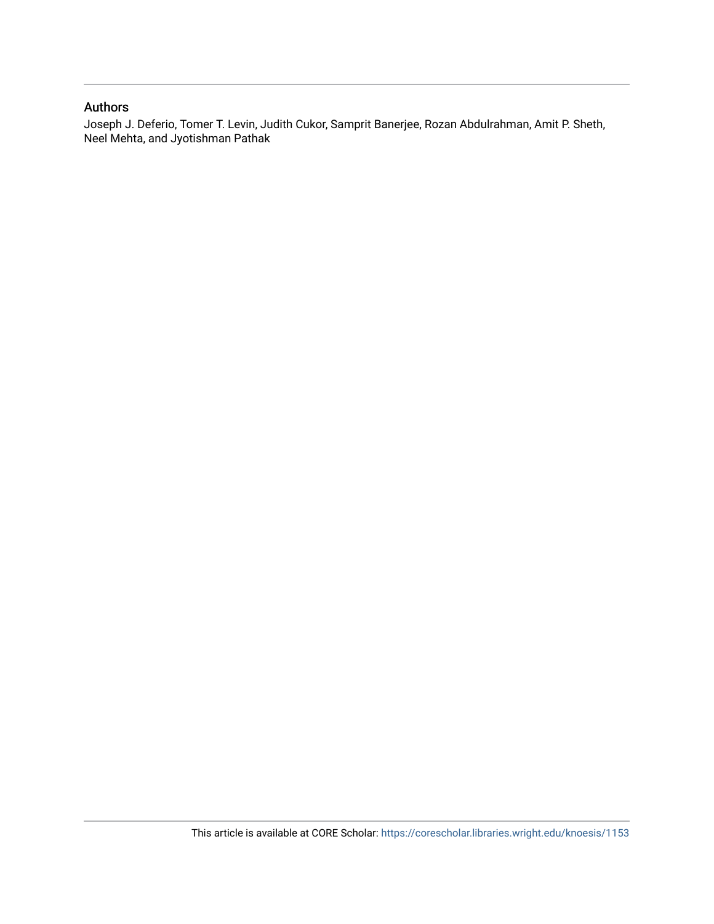## Authors

Joseph J. Deferio, Tomer T. Levin, Judith Cukor, Samprit Banerjee, Rozan Abdulrahman, Amit P. Sheth, Neel Mehta, and Jyotishman Pathak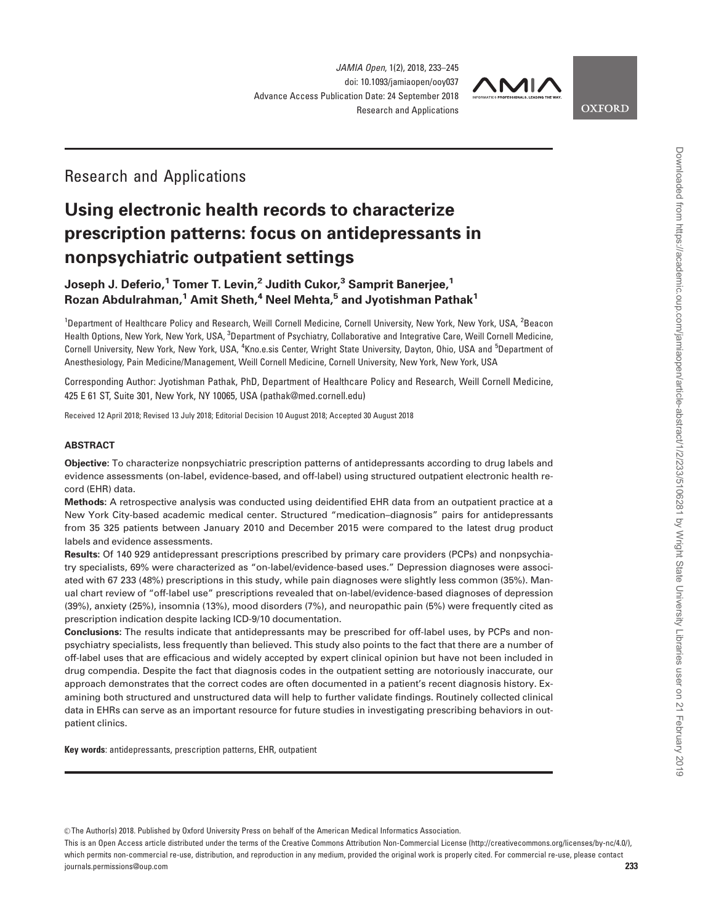

**OXFORD** 

# Research and Applications

# Using electronic health records to characterize prescription patterns: focus on antidepressants in nonpsychiatric outpatient settings

# Joseph J. Deferio,<sup>1</sup> Tomer T. Levin,<sup>2</sup> Judith Cukor,<sup>3</sup> Samprit Banerjee,<sup>1</sup> Rozan Abdulrahman,<sup>1</sup> Amit Sheth,<sup>4</sup> Neel Mehta, $5$  and Jyotishman Pathak<sup>1</sup>

<sup>1</sup>Department of Healthcare Policy and Research, Weill Cornell Medicine, Cornell University, New York, New York, USA, <sup>2</sup>Beacon Health Options, New York, New York, USA, <sup>3</sup>Department of Psychiatry, Collaborative and Integrative Care, Weill Cornell Medicine, Cornell University, New York, New York, USA, <sup>4</sup>Kno.e.sis Center, Wright State University, Dayton, Ohio, USA and <sup>5</sup>Department of Anesthesiology, Pain Medicine/Management, Weill Cornell Medicine, Cornell University, New York, New York, USA

Corresponding Author: Jyotishman Pathak, PhD, Department of Healthcare Policy and Research, Weill Cornell Medicine, 425 E 61 ST, Suite 301, New York, NY 10065, USA (pathak@med.cornell.edu)

Received 12 April 2018; Revised 13 July 2018; Editorial Decision 10 August 2018; Accepted 30 August 2018

#### ABSTRACT

Objective: To characterize nonpsychiatric prescription patterns of antidepressants according to drug labels and evidence assessments (on-label, evidence-based, and off-label) using structured outpatient electronic health record (EHR) data.

Methods: A retrospective analysis was conducted using deidentified EHR data from an outpatient practice at a New York City-based academic medical center. Structured "medication–diagnosis" pairs for antidepressants from 35 325 patients between January 2010 and December 2015 were compared to the latest drug product labels and evidence assessments.

Results: Of 140 929 antidepressant prescriptions prescribed by primary care providers (PCPs) and nonpsychiatry specialists, 69% were characterized as "on-label/evidence-based uses." Depression diagnoses were associated with 67 233 (48%) prescriptions in this study, while pain diagnoses were slightly less common (35%). Manual chart review of "off-label use" prescriptions revealed that on-label/evidence-based diagnoses of depression (39%), anxiety (25%), insomnia (13%), mood disorders (7%), and neuropathic pain (5%) were frequently cited as prescription indication despite lacking ICD-9/10 documentation.

Conclusions: The results indicate that antidepressants may be prescribed for off-label uses, by PCPs and nonpsychiatry specialists, less frequently than believed. This study also points to the fact that there are a number of off-label uses that are efficacious and widely accepted by expert clinical opinion but have not been included in drug compendia. Despite the fact that diagnosis codes in the outpatient setting are notoriously inaccurate, our approach demonstrates that the correct codes are often documented in a patient's recent diagnosis history. Examining both structured and unstructured data will help to further validate findings. Routinely collected clinical data in EHRs can serve as an important resource for future studies in investigating prescribing behaviors in outpatient clinics.

Key words: antidepressants, prescription patterns, EHR, outpatient

V<sup>C</sup> The Author(s) 2018. Published by Oxford University Press on behalf of the American Medical Informatics Association.

This is an Open Access article distributed under the terms of the Creative Commons Attribution Non-Commercial License (http://creativecommons.org/licenses/by-nc/4.0/), which permits non-commercial re-use, distribution, and reproduction in any medium, provided the original work is properly cited. For commercial re-use, please contact journals.permissions@oup.com 233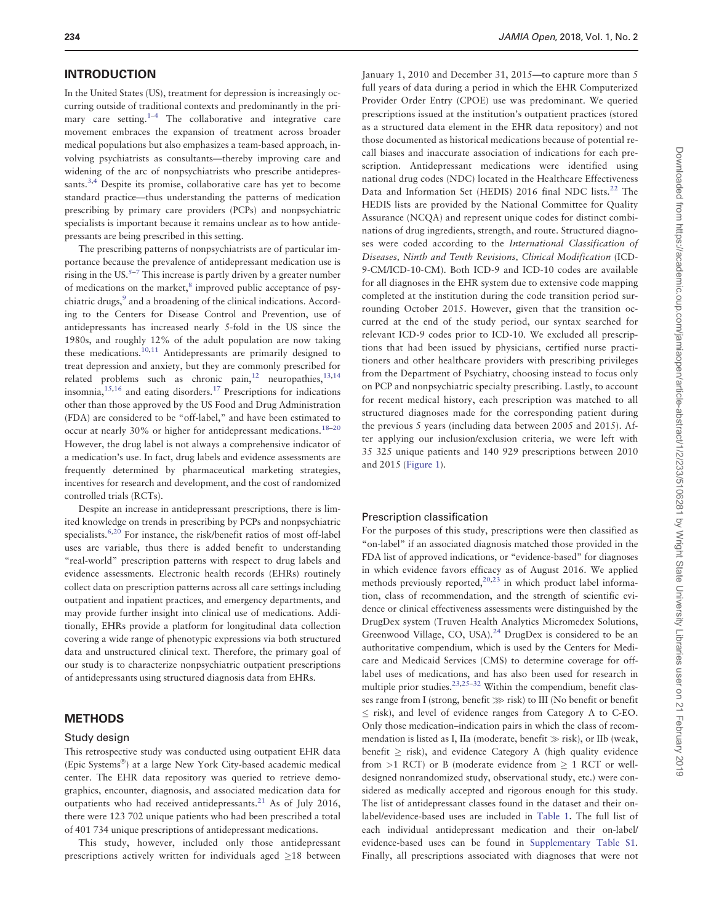#### INTRODUCTION

In the United States (US), treatment for depression is increasingly occurring outside of traditional contexts and predominantly in the primary care setting. $1-4$  The collaborative and integrative care movement embraces the expansion of treatment across broader medical populations but also emphasizes a team-based approach, involving psychiatrists as consultants—thereby improving care and widening of the arc of nonpsychiatrists who prescribe antidepressants.<sup>3,4</sup> Despite its promise, collaborative care has yet to become standard practice—thus understanding the patterns of medication prescribing by primary care providers (PCPs) and nonpsychiatric specialists is important because it remains unclear as to how antidepressants are being prescribed in this setting.

The prescribing patterns of nonpsychiatrists are of particular importance because the prevalence of antidepressant medication use is rising in the US. $5-7$  This increase is partly driven by a greater number of medications on the market,<sup>[8](#page-13-0)</sup> improved public acceptance of psy-chiatric drugs,<sup>[9](#page-13-0)</sup> and a broadening of the clinical indications. According to the Centers for Disease Control and Prevention, use of antidepressants has increased nearly 5-fold in the US since the 1980s, and roughly 12% of the adult population are now taking these medications.[10](#page-13-0),[11](#page-13-0) Antidepressants are primarily designed to treat depression and anxiety, but they are commonly prescribed for related problems such as chronic pain, $12$  neuropathies,  $13,14$ insomnia, $15,16$  and eating disorders.<sup>[17](#page-14-0)</sup> Prescriptions for indications other than those approved by the US Food and Drug Administration (FDA) are considered to be "off-label," and have been estimated to occur at nearly 30% or higher for antidepressant medications.<sup>18-20</sup> However, the drug label is not always a comprehensive indicator of a medication's use. In fact, drug labels and evidence assessments are frequently determined by pharmaceutical marketing strategies, incentives for research and development, and the cost of randomized controlled trials (RCTs).

Despite an increase in antidepressant prescriptions, there is limited knowledge on trends in prescribing by PCPs and nonpsychiatric specialists.<sup>[6](#page-13-0)[,20](#page-14-0)</sup> For instance, the risk/benefit ratios of most off-label uses are variable, thus there is added benefit to understanding "real-world" prescription patterns with respect to drug labels and evidence assessments. Electronic health records (EHRs) routinely collect data on prescription patterns across all care settings including outpatient and inpatient practices, and emergency departments, and may provide further insight into clinical use of medications. Additionally, EHRs provide a platform for longitudinal data collection covering a wide range of phenotypic expressions via both structured data and unstructured clinical text. Therefore, the primary goal of our study is to characterize nonpsychiatric outpatient prescriptions of antidepressants using structured diagnosis data from EHRs.

#### **METHODS**

#### Study design

This retrospective study was conducted using outpatient EHR data (Epic Systems®) at a large New York City-based academic medical center. The EHR data repository was queried to retrieve demographics, encounter, diagnosis, and associated medication data for outpatients who had received antidepressants. $^{21}$  As of July 2016, there were 123 702 unique patients who had been prescribed a total of 401 734 unique prescriptions of antidepressant medications.

This study, however, included only those antidepressant prescriptions actively written for individuals aged  $\geq$ 18 between

January 1, 2010 and December 31, 2015—to capture more than 5 full years of data during a period in which the EHR Computerized Provider Order Entry (CPOE) use was predominant. We queried prescriptions issued at the institution's outpatient practices (stored as a structured data element in the EHR data repository) and not those documented as historical medications because of potential recall biases and inaccurate association of indications for each prescription. Antidepressant medications were identified using national drug codes (NDC) located in the Healthcare Effectiveness Data and Information Set (HEDIS) 2016 final NDC lists.<sup>[22](#page-14-0)</sup> The HEDIS lists are provided by the National Committee for Quality Assurance (NCQA) and represent unique codes for distinct combinations of drug ingredients, strength, and route. Structured diagnoses were coded according to the International Classification of Diseases, Ninth and Tenth Revisions, Clinical Modification (ICD-9-CM/ICD-10-CM). Both ICD-9 and ICD-10 codes are available for all diagnoses in the EHR system due to extensive code mapping completed at the institution during the code transition period surrounding October 2015. However, given that the transition occurred at the end of the study period, our syntax searched for relevant ICD-9 codes prior to ICD-10. We excluded all prescriptions that had been issued by physicians, certified nurse practitioners and other healthcare providers with prescribing privileges from the Department of Psychiatry, choosing instead to focus only on PCP and nonpsychiatric specialty prescribing. Lastly, to account for recent medical history, each prescription was matched to all structured diagnoses made for the corresponding patient during the previous 5 years (including data between 2005 and 2015). After applying our inclusion/exclusion criteria, we were left with 35 325 unique patients and 140 929 prescriptions between 2010 and 2015 [\(Figure 1\)](#page-4-0).

#### Prescription classification

For the purposes of this study, prescriptions were then classified as "on-label" if an associated diagnosis matched those provided in the FDA list of approved indications, or "evidence-based" for diagnoses in which evidence favors efficacy as of August 2016. We applied methods previously reported, $20,23$  in which product label information, class of recommendation, and the strength of scientific evidence or clinical effectiveness assessments were distinguished by the DrugDex system (Truven Health Analytics Micromedex Solutions, Greenwood Village, CO, USA).<sup>[24](#page-14-0)</sup> DrugDex is considered to be an authoritative compendium, which is used by the Centers for Medicare and Medicaid Services (CMS) to determine coverage for offlabel uses of medications, and has also been used for research in multiple prior studies.<sup>23,25–32</sup> Within the compendium, benefit classes range from I (strong, benefit  $\gg$  risk) to III (No benefit or benefit  $\leq$  risk), and level of evidence ranges from Category A to C-EO. Only those medication–indication pairs in which the class of recommendation is listed as I, IIa (moderate, benefit  $\gg$  risk), or IIb (weak, benefit  $\geq$  risk), and evidence Category A (high quality evidence from  $>1$  RCT) or B (moderate evidence from  $\geq 1$  RCT or welldesigned nonrandomized study, observational study, etc.) were considered as medically accepted and rigorous enough for this study. The list of antidepressant classes found in the dataset and their onlabel/evidence-based uses are included in [Table 1](#page-5-0). The full list of each individual antidepressant medication and their on-label/ evidence-based uses can be found in [Supplementary Table S1](https://academic.oup.com/jamiaopen/article-lookup/doi/10.1093/jamiaopen/ooy037#supplementary-data). Finally, all prescriptions associated with diagnoses that were not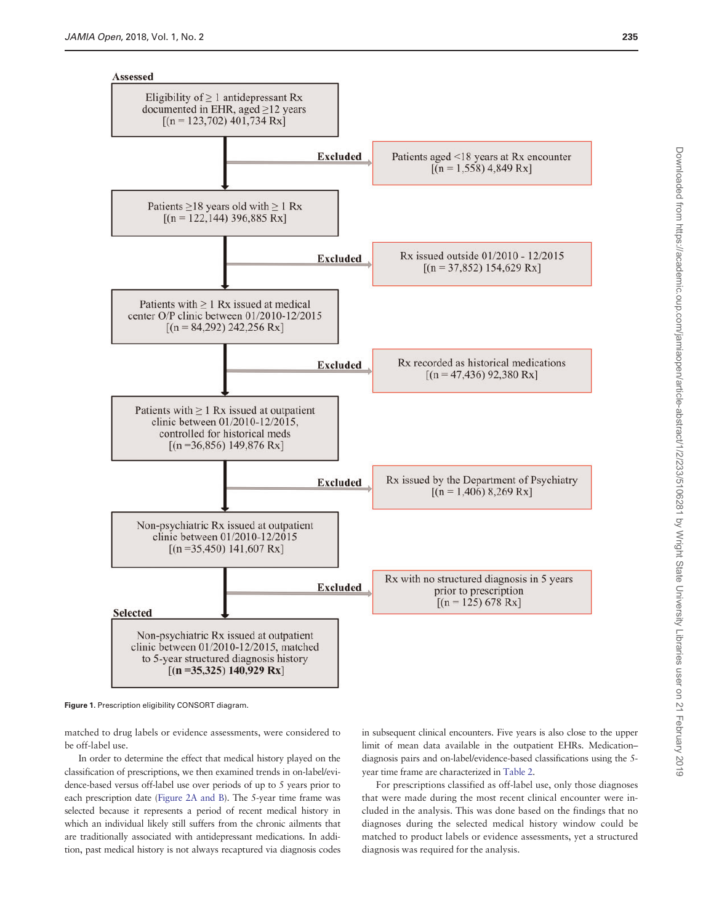<span id="page-4-0"></span>

Figure 1. Prescription eligibility CONSORT diagram.

matched to drug labels or evidence assessments, were considered to be off-label use.

In order to determine the effect that medical history played on the classification of prescriptions, we then examined trends in on-label/evidence-based versus off-label use over periods of up to 5 years prior to each prescription date ([Figure 2A and B\)](#page-6-0). The 5-year time frame was selected because it represents a period of recent medical history in which an individual likely still suffers from the chronic ailments that are traditionally associated with antidepressant medications. In addition, past medical history is not always recaptured via diagnosis codes

in subsequent clinical encounters. Five years is also close to the upper limit of mean data available in the outpatient EHRs. Medication– diagnosis pairs and on-label/evidence-based classifications using the 5 year time frame are characterized in [Table 2](#page-7-0).

For prescriptions classified as off-label use, only those diagnoses that were made during the most recent clinical encounter were included in the analysis. This was done based on the findings that no diagnoses during the selected medical history window could be matched to product labels or evidence assessments, yet a structured diagnosis was required for the analysis.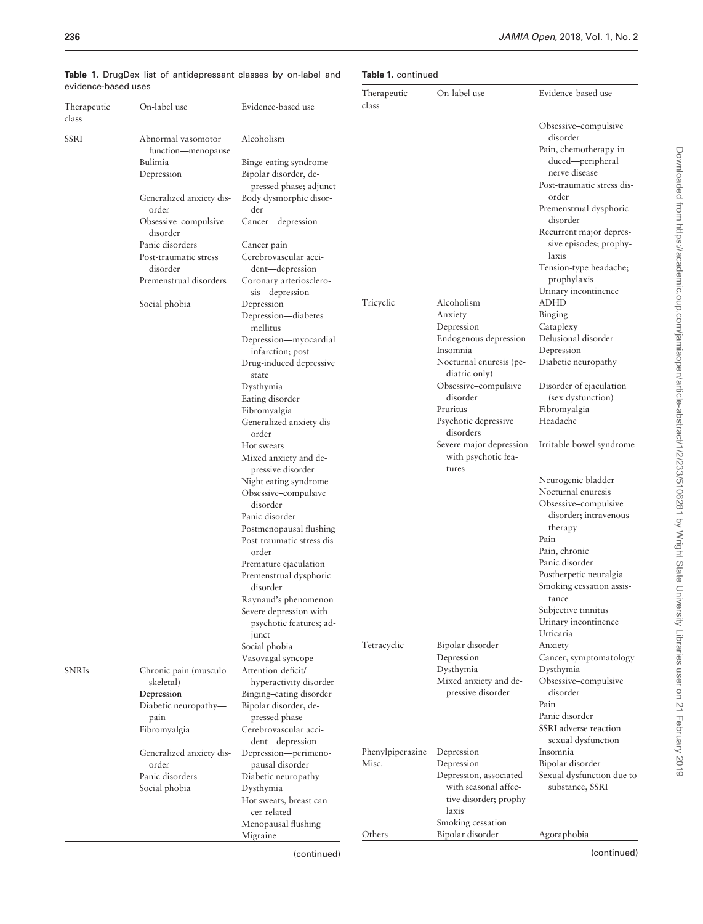|                      |                                   |                                             | Therapeutic      | On-label use                      | Evidence-based use                                 |
|----------------------|-----------------------------------|---------------------------------------------|------------------|-----------------------------------|----------------------------------------------------|
| Therapeutic          | On-label use                      | Evidence-based use                          | class            |                                   |                                                    |
| class<br><b>SSRI</b> | Abnormal vasomotor                | Alcoholism                                  |                  |                                   | Obsessive-compulsive<br>disorder                   |
|                      | function-menopause                |                                             |                  |                                   | Pain, chemotherapy-in-                             |
|                      | Bulimia                           | Binge-eating syndrome                       |                  |                                   | duced—peripheral                                   |
|                      | Depression                        | Bipolar disorder, de-                       |                  |                                   | nerve disease                                      |
|                      |                                   | pressed phase; adjunct                      |                  |                                   | Post-traumatic stress dis-<br>order                |
|                      | Generalized anxiety dis-<br>order | Body dysmorphic disor-<br>der               |                  |                                   | Premenstrual dysphoric                             |
|                      | Obsessive-compulsive<br>disorder  | Cancer—depression                           |                  |                                   | disorder<br>Recurrent major depres-                |
|                      | Panic disorders                   | Cancer pain                                 |                  |                                   | sive episodes; prophy-                             |
|                      | Post-traumatic stress<br>disorder | Cerebrovascular acci-<br>dent-depression    |                  |                                   | laxis<br>Tension-type headache;                    |
|                      | Premenstrual disorders            | Coronary arteriosclero-                     |                  |                                   | prophylaxis                                        |
|                      |                                   | sis—depression                              |                  |                                   | Urinary incontinence                               |
|                      | Social phobia                     | Depression                                  | Tricyclic        | Alcoholism                        | <b>ADHD</b>                                        |
|                      |                                   | Depression-diabetes                         |                  | Anxiety                           | Binging                                            |
|                      |                                   | mellitus                                    |                  | Depression                        | Cataplexy                                          |
|                      |                                   | Depression-myocardial                       |                  | Endogenous depression<br>Insomnia | Delusional disorder<br>Depression                  |
|                      |                                   | infarction; post<br>Drug-induced depressive |                  | Nocturnal enuresis (pe-           | Diabetic neuropathy                                |
|                      |                                   | state                                       |                  | diatric only)                     |                                                    |
|                      |                                   | Dysthymia                                   |                  | Obsessive-compulsive              | Disorder of ejaculation                            |
|                      |                                   | Eating disorder                             |                  | disorder                          | (sex dysfunction)                                  |
|                      |                                   | Fibromyalgia                                |                  | Pruritus                          | Fibromyalgia                                       |
|                      |                                   | Generalized anxiety dis-<br>order           |                  | Psychotic depressive<br>disorders | Headache                                           |
|                      |                                   | Hot sweats                                  |                  | Severe major depression           | Irritable bowel syndrome                           |
|                      |                                   | Mixed anxiety and de-<br>pressive disorder  |                  | with psychotic fea-<br>tures      |                                                    |
|                      |                                   | Night eating syndrome                       |                  |                                   | Neurogenic bladder                                 |
|                      |                                   | Obsessive–compulsive<br>disorder            |                  |                                   | Nocturnal enuresis<br>Obsessive-compulsive         |
|                      |                                   | Panic disorder                              |                  |                                   | disorder; intravenous                              |
|                      |                                   | Postmenopausal flushing                     |                  |                                   | therapy                                            |
|                      |                                   | Post-traumatic stress dis-                  |                  |                                   | Pain                                               |
|                      |                                   | order                                       |                  |                                   | Pain, chronic                                      |
|                      |                                   | Premature ejaculation                       |                  |                                   | Panic disorder                                     |
|                      |                                   | Premenstrual dysphoric                      |                  |                                   | Postherpetic neuralgia<br>Smoking cessation assis- |
|                      |                                   | disorder<br>Raynaud's phenomenon            |                  |                                   | tance                                              |
|                      |                                   | Severe depression with                      |                  |                                   | Subjective tinnitus                                |
|                      |                                   | psychotic features; ad-                     |                  |                                   | Urinary incontinence                               |
|                      |                                   | junct                                       |                  |                                   | Urticaria                                          |
|                      |                                   | Social phobia                               | Tetracyclic      | Bipolar disorder<br>Depression    | Anxiety<br>Cancer, symptomatology                  |
| <b>SNRIs</b>         | Chronic pain (musculo-            | Vasovagal syncope<br>Attention-deficit/     |                  | Dysthymia                         | Dysthymia                                          |
|                      | skeletal)                         | hyperactivity disorder                      |                  | Mixed anxiety and de-             | Obsessive-compulsive                               |
|                      | Depression                        | Binging-eating disorder                     |                  | pressive disorder                 | disorder                                           |
|                      | Diabetic neuropathy-              | Bipolar disorder, de-                       |                  |                                   | Pain                                               |
|                      | pain                              | pressed phase                               |                  |                                   | Panic disorder                                     |
|                      | Fibromyalgia                      | Cerebrovascular acci-                       |                  |                                   | SSRI adverse reaction-<br>sexual dysfunction       |
|                      | Generalized anxiety dis-          | dent-depression<br>Depression-perimeno-     | Phenylpiperazine | Depression                        | Insomnia                                           |
|                      | order                             | pausal disorder                             | Misc.            | Depression                        | Bipolar disorder                                   |
|                      | Panic disorders                   | Diabetic neuropathy                         |                  | Depression, associated            | Sexual dysfunction due to                          |
|                      | Social phobia                     | Dysthymia                                   |                  | with seasonal affec-              | substance, SSRI                                    |
|                      |                                   | Hot sweats, breast can-                     |                  | tive disorder; prophy-            |                                                    |
|                      |                                   | cer-related<br>Menopausal flushing          |                  | laxis<br>Smoking cessation        |                                                    |
|                      |                                   | Migraine                                    | Others           | Bipolar disorder                  | Agoraphobia                                        |
|                      |                                   |                                             |                  |                                   |                                                    |

#### <span id="page-5-0"></span>Table 1. DrugDex list of antidepressant classes by on-label and evidence-based uses

#### Table 1. continued

(continued)

(continued)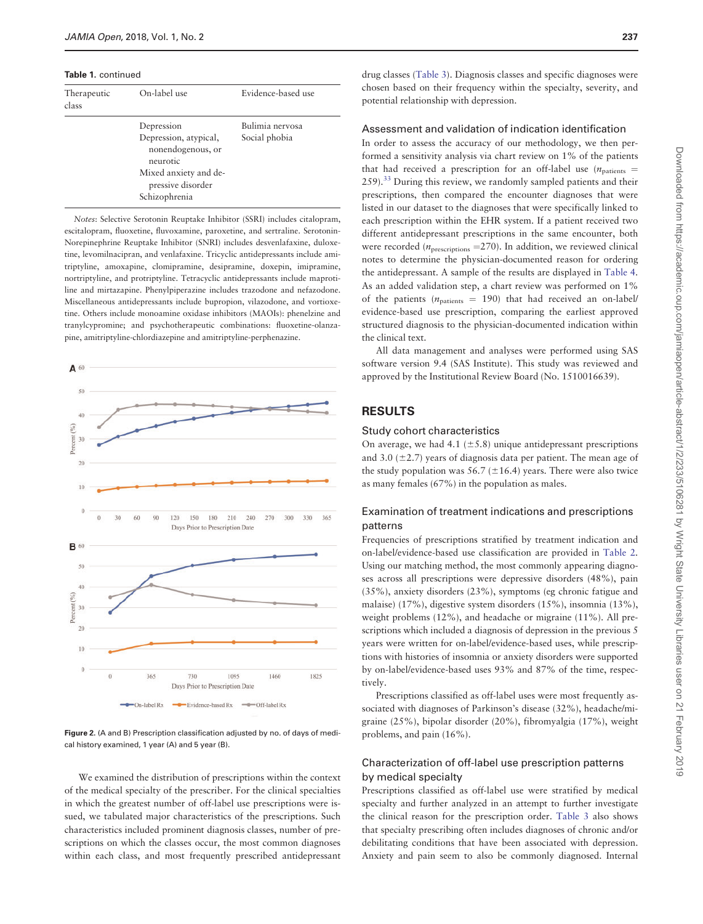<span id="page-6-0"></span>Table 1. continued

| Therapeutic<br>class | On-label use                                                                                                                        | Evidence-based use               |
|----------------------|-------------------------------------------------------------------------------------------------------------------------------------|----------------------------------|
|                      | Depression<br>Depression, atypical,<br>nonendogenous, or<br>neurotic<br>Mixed anxiety and de-<br>pressive disorder<br>Schizophrenia | Bulimia nervosa<br>Social phobia |

Notes: Selective Serotonin Reuptake Inhibitor (SSRI) includes citalopram, escitalopram, fluoxetine, fluvoxamine, paroxetine, and sertraline. Serotonin-Norepinephrine Reuptake Inhibitor (SNRI) includes desvenlafaxine, duloxetine, levomilnacipran, and venlafaxine. Tricyclic antidepressants include amitriptyline, amoxapine, clomipramine, desipramine, doxepin, imipramine, nortriptyline, and protriptyline. Tetracyclic antidepressants include maprotiline and mirtazapine. Phenylpiperazine includes trazodone and nefazodone. Miscellaneous antidepressants include bupropion, vilazodone, and vortioxetine. Others include monoamine oxidase inhibitors (MAOIs): phenelzine and tranylcypromine; and psychotherapeutic combinations: fluoxetine-olanzapine, amitriptyline-chlordiazepine and amitriptyline-perphenazine.



Figure 2. (A and B) Prescription classification adjusted by no. of days of medical history examined, 1 year (A) and 5 year (B).

We examined the distribution of prescriptions within the context of the medical specialty of the prescriber. For the clinical specialties in which the greatest number of off-label use prescriptions were issued, we tabulated major characteristics of the prescriptions. Such characteristics included prominent diagnosis classes, number of prescriptions on which the classes occur, the most common diagnoses within each class, and most frequently prescribed antidepressant

drug classes [\(Table 3](#page-8-0)). Diagnosis classes and specific diagnoses were chosen based on their frequency within the specialty, severity, and potential relationship with depression.

#### Assessment and validation of indication identification

In order to assess the accuracy of our methodology, we then performed a sensitivity analysis via chart review on 1% of the patients that had received a prescription for an off-label use  $(n_{\text{particles}} =$ 259).<sup>[33](#page-14-0)</sup> During this review, we randomly sampled patients and their prescriptions, then compared the encounter diagnoses that were listed in our dataset to the diagnoses that were specifically linked to each prescription within the EHR system. If a patient received two different antidepressant prescriptions in the same encounter, both were recorded ( $n_{\text{prescriptions}} = 270$ ). In addition, we reviewed clinical notes to determine the physician-documented reason for ordering the antidepressant. A sample of the results are displayed in [Table 4](#page-10-0). As an added validation step, a chart review was performed on 1% of the patients ( $n_{\text{patients}}$  = 190) that had received an on-label/ evidence-based use prescription, comparing the earliest approved structured diagnosis to the physician-documented indication within the clinical text.

All data management and analyses were performed using SAS software version 9.4 (SAS Institute). This study was reviewed and approved by the Institutional Review Board (No. 1510016639).

## RESULTS

#### Study cohort characteristics

On average, we had 4.1  $(\pm 5.8)$  unique antidepressant prescriptions and 3.0 ( $\pm$ 2.7) years of diagnosis data per patient. The mean age of the study population was 56.7 ( $\pm$ 16.4) years. There were also twice as many females (67%) in the population as males.

#### Examination of treatment indications and prescriptions patterns

Frequencies of prescriptions stratified by treatment indication and on-label/evidence-based use classification are provided in [Table 2](#page-7-0). Using our matching method, the most commonly appearing diagnoses across all prescriptions were depressive disorders (48%), pain (35%), anxiety disorders (23%), symptoms (eg chronic fatigue and malaise) (17%), digestive system disorders (15%), insomnia (13%), weight problems (12%), and headache or migraine (11%). All prescriptions which included a diagnosis of depression in the previous 5 years were written for on-label/evidence-based uses, while prescriptions with histories of insomnia or anxiety disorders were supported by on-label/evidence-based uses 93% and 87% of the time, respectively.

Prescriptions classified as off-label uses were most frequently associated with diagnoses of Parkinson's disease (32%), headache/migraine (25%), bipolar disorder (20%), fibromyalgia (17%), weight problems, and pain (16%).

#### Characterization of off-label use prescription patterns by medical specialty

Prescriptions classified as off-label use were stratified by medical specialty and further analyzed in an attempt to further investigate the clinical reason for the prescription order. [Table 3](#page-8-0) also shows that specialty prescribing often includes diagnoses of chronic and/or debilitating conditions that have been associated with depression. Anxiety and pain seem to also be commonly diagnosed. Internal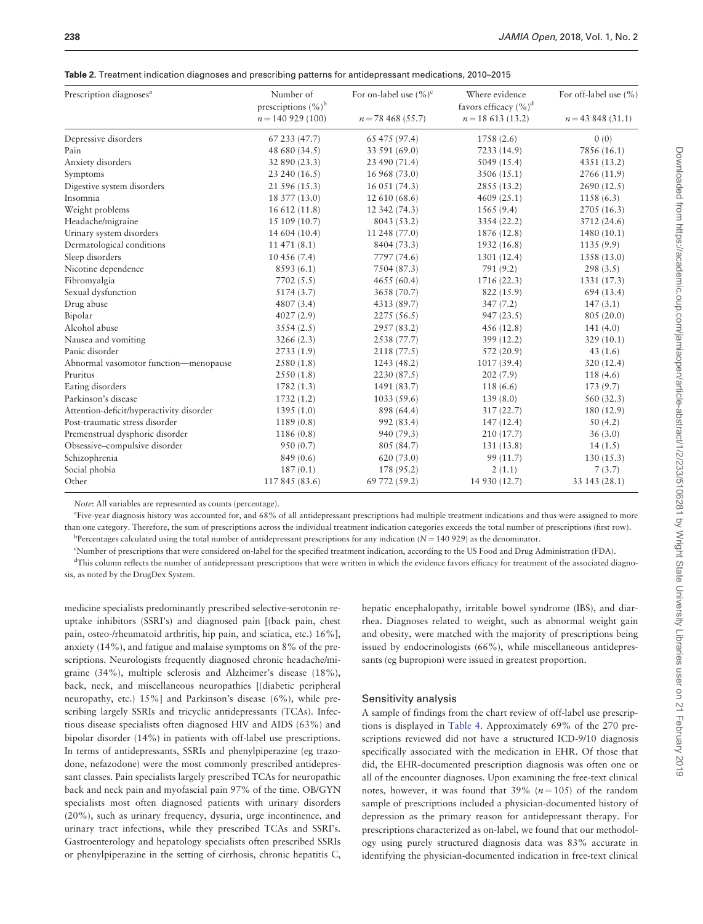<span id="page-7-0"></span>

|  | Table 2. Treatment indication diagnoses and prescribing patterns for antidepressant medications, 2010-2015 |  |  |  |  |  |  |
|--|------------------------------------------------------------------------------------------------------------|--|--|--|--|--|--|
|--|------------------------------------------------------------------------------------------------------------|--|--|--|--|--|--|

| Prescription diagnoses <sup>a</sup>      | Number of<br>prescriptions $(\%)^b$ | For on-label use $(\%)^c$ | Where evidence<br>favors efficacy $(\%)^d$ | For off-label use (%) |
|------------------------------------------|-------------------------------------|---------------------------|--------------------------------------------|-----------------------|
|                                          | $n = 140$ 929 (100)                 | $n = 78,468$ (55.7)       | $n = 18613(13.2)$                          | $n = 43,848$ (31.1)   |
| Depressive disorders                     | 67 233 (47.7)                       | 65 475 (97.4)             | 1758 (2.6)                                 | 0(0)                  |
| Pain                                     | 48 680 (34.5)                       | 33 591 (69.0)             | 7233 (14.9)                                | 7856 (16.1)           |
| Anxiety disorders                        | 32 890 (23.3)                       | 23 490 (71.4)             | 5049(15.4)                                 | 4351 (13.2)           |
| Symptoms                                 | 23 240 (16.5)                       | 16 968 (73.0)             | 3506 (15.1)                                | 2766 (11.9)           |
| Digestive system disorders               | 21 596 (15.3)                       | 16 051 (74.3)             | 2855 (13.2)                                | 2690(12.5)            |
| Insomnia                                 | 18 377 (13.0)                       | 12 610 (68.6)             | 4609(25.1)                                 | 1158(6.3)             |
| Weight problems                          | 16 612 (11.8)                       | 12 342 (74.3)             | 1565 (9.4)                                 | 2705(16.3)            |
| Headache/migraine                        | 15 109 (10.7)                       | 8043 (53.2)               | 3354 (22.2)                                | 3712 (24.6)           |
| Urinary system disorders                 | 14 604 (10.4)                       | 11 248 (77.0)             | 1876 (12.8)                                | 1480 (10.1)           |
| Dermatological conditions                | 11471(8.1)                          | 8404 (73.3)               | 1932 (16.8)                                | 1135(9.9)             |
| Sleep disorders                          | 10 456 (7.4)                        | 7797 (74.6)               | 1301 (12.4)                                | 1358 (13.0)           |
| Nicotine dependence                      | 8593 (6.1)                          | 7504 (87.3)               | 791(9.2)                                   | 298(3.5)              |
| Fibromyalgia                             | 7702(5.5)                           | 4655 (60.4)               | 1716 (22.3)                                | 1331 (17.3)           |
| Sexual dysfunction                       | 5174 (3.7)                          | 3658 (70.7)               | 822 (15.9)                                 | 694 (13.4)            |
| Drug abuse                               | 4807 (3.4)                          | 4313 (89.7)               | 347(7.2)                                   | 147(3.1)              |
| Bipolar                                  | 4027(2.9)                           | 2275(56.5)                | 947(23.5)                                  | 805 (20.0)            |
| Alcohol abuse                            | 3554(2.5)                           | 2957 (83.2)               | 456(12.8)                                  | 141(4.0)              |
| Nausea and vomiting                      | 3266(2.3)                           | 2538 (77.7)               | 399 (12.2)                                 | 329(10.1)             |
| Panic disorder                           | 2733(1.9)                           | 2118 (77.5)               | 572 (20.9)                                 | 43(1.6)               |
| Abnormal vasomotor function-menopause    | 2580(1.8)                           | 1243 (48.2)               | 1017(39.4)                                 | 320 (12.4)            |
| Pruritus                                 | 2550(1.8)                           | 2230 (87.5)               | 202(7.9)                                   | 118(4.6)              |
| Eating disorders                         | 1782(1.3)                           | 1491 (83.7)               | 118(6.6)                                   | 173(9.7)              |
| Parkinson's disease                      | 1732(1.2)                           | 1033(59.6)                | 139(8.0)                                   | 560 (32.3)            |
| Attention-deficit/hyperactivity disorder | 1395(1.0)                           | 898 (64.4)                | 317(22.7)                                  | 180 (12.9)            |
| Post-traumatic stress disorder           | 1189(0.8)                           | 992 (83.4)                | 147(12.4)                                  | 50(4.2)               |
| Premenstrual dysphoric disorder          | 1186 (0.8)                          | 940 (79.3)                | 210 (17.7)                                 | 36(3.0)               |
| Obsessive-compulsive disorder            | 950(0.7)                            | 805 (84.7)                | 131 (13.8)                                 | 14(1.5)               |
| Schizophrenia                            | 849 (0.6)                           | 620(73.0)                 | 99(11.7)                                   | 130(15.3)             |
| Social phobia                            | 187(0.1)                            | 178 (95.2)                | 2(1.1)                                     | 7(3.7)                |
| Other                                    | 117 845 (83.6)                      | 69 772 (59.2)             | 14 930 (12.7)                              | 33 143 (28.1)         |

Note: All variables are represented as counts (percentage).

a Five-year diagnosis history was accounted for, and 68% of all antidepressant prescriptions had multiple treatment indications and thus were assigned to more than one category. Therefore, the sum of prescriptions across the individual treatment indication categories exceeds the total number of prescriptions (first row).  $b$ Percentages calculated using the total number of antidepressant prescriptions for any indication ( $N = 140929$ ) as the denominator.

c Number of prescriptions that were considered on-label for the specified treatment indication, according to the US Food and Drug Administration (FDA).

<sup>d</sup>This column reflects the number of antidepressant prescriptions that were written in which the evidence favors efficacy for treatment of the associated diagnosis, as noted by the DrugDex System.

medicine specialists predominantly prescribed selective-serotonin reuptake inhibitors (SSRI's) and diagnosed pain [(back pain, chest pain, osteo-/rheumatoid arthritis, hip pain, and sciatica, etc.) 16%], anxiety (14%), and fatigue and malaise symptoms on 8% of the prescriptions. Neurologists frequently diagnosed chronic headache/migraine (34%), multiple sclerosis and Alzheimer's disease (18%), back, neck, and miscellaneous neuropathies [(diabetic peripheral neuropathy, etc.) 15%] and Parkinson's disease (6%), while prescribing largely SSRIs and tricyclic antidepressants (TCAs). Infectious disease specialists often diagnosed HIV and AIDS (63%) and bipolar disorder (14%) in patients with off-label use prescriptions. In terms of antidepressants, SSRIs and phenylpiperazine (eg trazodone, nefazodone) were the most commonly prescribed antidepressant classes. Pain specialists largely prescribed TCAs for neuropathic back and neck pain and myofascial pain 97% of the time. OB/GYN specialists most often diagnosed patients with urinary disorders (20%), such as urinary frequency, dysuria, urge incontinence, and urinary tract infections, while they prescribed TCAs and SSRI's. Gastroenterology and hepatology specialists often prescribed SSRIs or phenylpiperazine in the setting of cirrhosis, chronic hepatitis C,

hepatic encephalopathy, irritable bowel syndrome (IBS), and diarrhea. Diagnoses related to weight, such as abnormal weight gain and obesity, were matched with the majority of prescriptions being issued by endocrinologists (66%), while miscellaneous antidepressants (eg bupropion) were issued in greatest proportion.

#### Sensitivity analysis

A sample of findings from the chart review of off-label use prescriptions is displayed in [Table 4.](#page-10-0) Approximately 69% of the 270 prescriptions reviewed did not have a structured ICD-9/10 diagnosis specifically associated with the medication in EHR. Of those that did, the EHR-documented prescription diagnosis was often one or all of the encounter diagnoses. Upon examining the free-text clinical notes, however, it was found that 39%  $(n = 105)$  of the random sample of prescriptions included a physician-documented history of depression as the primary reason for antidepressant therapy. For prescriptions characterized as on-label, we found that our methodology using purely structured diagnosis data was 83% accurate in identifying the physician-documented indication in free-text clinical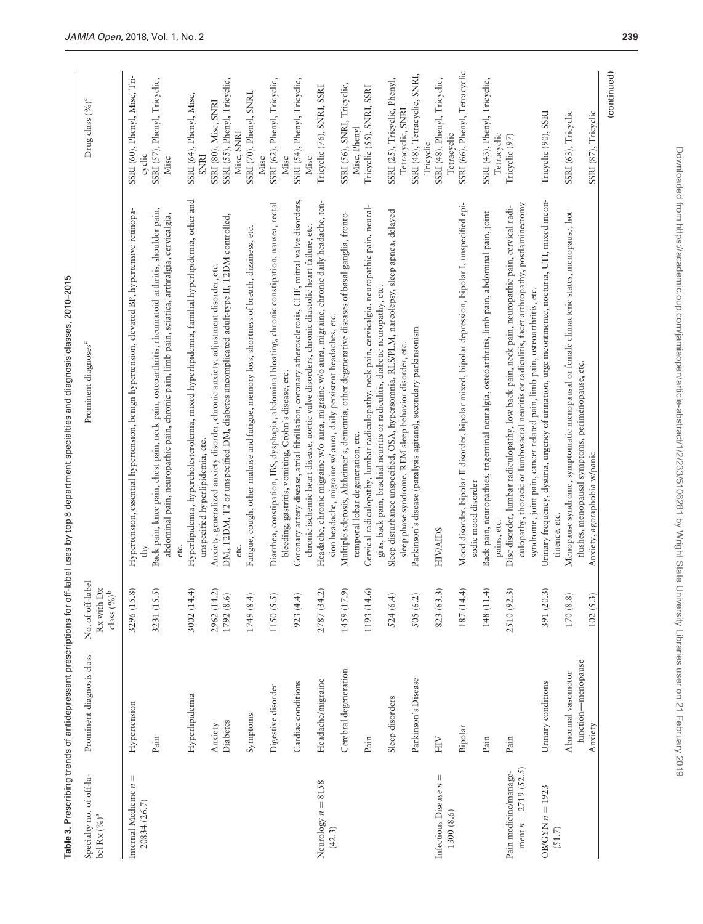| Ω<br>i                                               |
|------------------------------------------------------|
|                                                      |
|                                                      |
|                                                      |
| l<br>֖֖֖֧ׅׅׅ֧ׅ֚֚֚֚֚֚֚֚֚֚֚֚֚֚֚֚֚֚֚֚֚֚֚֚֚֡֬֝֝֬֝֓֞֡֡֓֡֬ |
| ţ<br>j                                               |
|                                                      |
| ֘֝֕<br>ł<br>ť                                        |
| i<br>֕                                               |
| ׇ֚֘<br>ï                                             |
| Ì<br>֦֧֦֧֦֧֦֧֦֦֦֧֦֧֦֧֦֧֦֧֦֦֧֦֧֦֧֦֧֦֧֦֦֧֦֧֦֦֚֚֚֜֜֜֞   |
|                                                      |
|                                                      |
|                                                      |
|                                                      |
| i                                                    |
| í<br>j                                               |
| l<br>l                                               |
|                                                      |
|                                                      |
|                                                      |
|                                                      |
| ï                                                    |
| Í<br>i<br>ï                                          |
| abl<br>l                                             |

<span id="page-8-0"></span>

| Specialty no. of off-la-<br>bel $\mbox{Rx}\,(\%)^a$ | Prominent diagnosis class     | No. of off-label<br>$\mbox{Rx}$ with $\mbox{Dx}$<br>class $(\%)^{\rm b}$ | Prominent diagnoses <sup>c</sup>                                                                                                                                                                      | Drug class (%) <sup>c</sup>                  |
|-----------------------------------------------------|-------------------------------|--------------------------------------------------------------------------|-------------------------------------------------------------------------------------------------------------------------------------------------------------------------------------------------------|----------------------------------------------|
| Ш<br>Internal Medicine n<br>20834 (26.7)            | Hypertension                  | 3296 (15.8)                                                              | Hypertension, essential hypertension, benign hypertension, elevated BP, hypertensive retinopa-                                                                                                        | SSRI (60), Phenyl, Misc, Tri-<br>cyclic      |
|                                                     | Pain                          | 3231 (15.5)                                                              | Back pain, knee pain, chest pain, neck pain, osteoarthritis, rheumatoid arthritis, shoulder pain,<br>abdominal pain, neuropathic pain, chronic pain, limb pain, sciatica, arthralgia, cervicalgia,    | SSRI (57), Phenyl, Tricyclic,<br>Misc        |
|                                                     | Hyperlipidemia                | 3002 (14.4)                                                              | Hyperlipidemia, hypercholesterolemia, mixed hyperlipidemia, familial hyperlipidemia, other and<br>unspecified hyperlipidemia, etc.                                                                    | SSRI (64), Phenyl, Misc,<br><b>SNRI</b>      |
|                                                     | Anxiety                       | 2962 (14.2)                                                              | Anxiety, generalized anxiety disorder, chronic anxiety, adjustment disorder, etc.                                                                                                                     | SSRI (80), Misc, SNRI                        |
|                                                     | Diabetes                      | 1792 (8.6)                                                               | DM, T2DM, T2 or unspecified DM, diabetes uncomplicated adult-type II, T2DM controlled,<br>etc.                                                                                                        | SSRI (55), Phenyl, Tricyclic,<br>Misc, SNRI  |
|                                                     | Symptoms                      | 1749(8.4)                                                                | Fatigue, cough, other malaise and fatigue, memory loss, shortness of breath, dizziness, etc.                                                                                                          | SSRI (70), Phenyl, SNRI,<br>Misc             |
|                                                     | Digestive disorder            | 1150(5.5)                                                                | Diarrhea, constipation, IBS, dysphagia, abdominal bloating, chronic constipation, nausea, rectal<br>bleeding, gastritis, vomiting, Crohn's disease, etc.                                              | SSRI (62), Phenyl, Tricyclic,<br>Misc        |
|                                                     | Cardiac conditions            | 923 (4.4)                                                                | Coronary artery disease, atrial fibrillation, coronary atherosclerosis, CHF, mitral valve disorders,<br>chronic ischemic heart disease, aortic valve disorders, chronic diastolic heart failure, etc. | SSRI (54), Phenyl, Tricyclic,<br>Misc        |
| Neurology $n = 8158$<br>(42.3)                      | Headache/migraine             | 2787 (34.2)                                                              | Headache, chronic migraine w/o aura, migraine w/o aura, migraine, chronic daily headache, ten-<br>sion headache, migraine w/ aura, daily persistent headaches, etc.                                   | Tricyclic (76), SNRI, SSRI                   |
|                                                     | Cerebral degeneration         | 1459 (17.9)                                                              | Multiple sclerosis, Alzheimer's, dementia, other degenerative diseases of basal ganglia, fronto-<br>temporal lobar degeneration, etc.                                                                 | SSRI (56), SNRI, Tricyclic,<br>Misc, Phenyl  |
|                                                     | Pain                          | 1193 (14.6)                                                              | Cervical radiculopathy, lumbar radiculopathy, neck pain, cervicalgia, neuropathic pain, neural-<br>gias, back pain, brachial neuritis or radiculitis, diabetic neuropathy, etc.                       | Tricyclic (55), SNRI, SSRI                   |
|                                                     | Sleep disorders               | 524(6.4)                                                                 | Sleep disturbance unspecified, OSA, hypersomnia, RLS/PLM, narcolepsy, sleep apnea, delayed                                                                                                            | SSRI (25), Tricyclic, Phenyl,                |
|                                                     |                               |                                                                          | sleep phase syndrome, REM sleep behavior disorder, etc.                                                                                                                                               | Tetracyclic, SNRI                            |
|                                                     | Parkinson's Disease           | 505 (6.2)                                                                | Parkinson's disease (paralysis agitans), secondary parkinsonism                                                                                                                                       | SSRI (48), Tetracyclic, SNRI,<br>Tricyclic   |
| Infectious Disease $n =$<br>1300(8.6)               | HIV                           | 823 (63.3)                                                               | <b>HIV/AIDS</b>                                                                                                                                                                                       | SSRI (48), Phenyl, Tricyclic,<br>Tetracyclic |
|                                                     | Bipolar                       | $(+)$<br>187 (14                                                         | Mood disorder, bipolar II disorder, bipolar mixed, bipolar depression, bipolar I, unspecified epi-<br>sodic mood disorder                                                                             | SSRI (66), Phenyl, Tetracyclic               |
|                                                     | Pain                          | $\div$<br>148 (11)                                                       | Back pain, neuropathies, trigeminal neuralgia, osteoarthritis, limb pain, abdominal pain, joint                                                                                                       | SSRI (43), Phenyl, Tricyclic,                |
| Pain medicine/manage-                               | Pain                          | 2510 (92.3)                                                              | Disc disorder, lumbar radiculopathy, low back pain, neck pain, neuropathic pain, cervical radi-<br>pains, etc.                                                                                        | Tetracyclic<br>Tricyclic (97)                |
| ment $n = 2719$ (52.5)                              |                               |                                                                          | culopathy, thoracic or lumbosacral neuritis or radiculitis, facet arthropathy, postlaminectomy<br>syndrome, joint pain, cancer-related pain, limb pain, osteoarthritis, etc.                          |                                              |
| $OBCGYN n = 1923$<br>(51.7)                         | Urinary conditions            | 391 (20.3)                                                               | Urinary frequency, dysuria, urgency of urination, urge incontinence, nocturia, UTI, mixed incon-<br>tinence, etc.                                                                                     | Tricyclic (90), SSRI                         |
|                                                     | Abnormal vasomotor            | 170 (8.8)                                                                | Menopause syndrome, symptomatic menopausal or female climacteric states, menopause, hot                                                                                                               | SSRI (63), Tricyclic                         |
|                                                     | function-menopause<br>Anxiety | $\widehat{3}$<br>102 (5.                                                 | flushes, menopausal symptoms, perimenopause, etc.<br>Anxiety, agoraphobia w/panic                                                                                                                     | SSRI (87), Tricyclic                         |
|                                                     |                               |                                                                          |                                                                                                                                                                                                       | (continued)                                  |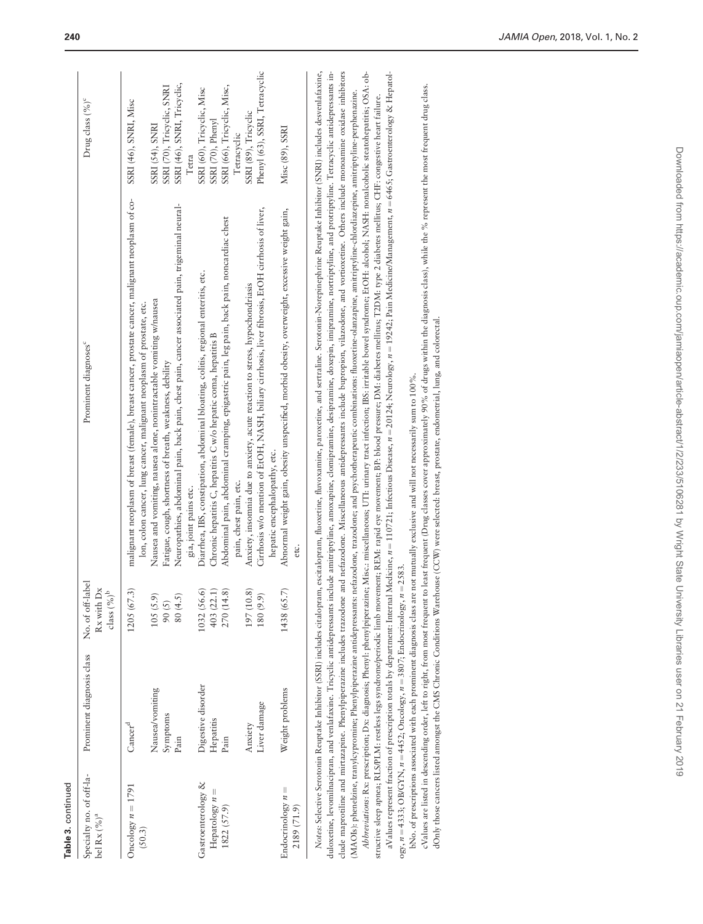| Table 3. continued                                    |                                         |                                                        |                                                                                                                                                                                                                                                                              |                                                                                               |
|-------------------------------------------------------|-----------------------------------------|--------------------------------------------------------|------------------------------------------------------------------------------------------------------------------------------------------------------------------------------------------------------------------------------------------------------------------------------|-----------------------------------------------------------------------------------------------|
| Specialty no. of off-la-<br>bel Rx $(%)^a$            | Prominent diagnosis class               | No. of off-label<br>Rx with Dx<br>class $(\%)^{\rm b}$ | Prominent diagnoses <sup>c</sup>                                                                                                                                                                                                                                             | Drug class (%) <sup>c</sup>                                                                   |
| Oncology $n = 1791$<br>(50.3)                         | Nausea/vomiting<br>$\rm Cancer^d$       | 1205(67.3)<br>105(5.9)                                 | malignant neoplasm of breast (female), breast cancer, prostate cancer, malignant neoplasm of co-<br>Nausea and vomiting, nausea alone, nonintractable vomiting w/nausea<br>lon, colon cancer, lung cancer, malignant neoplasm of prostate, etc.                              | SSRI (46), SNRI, Misc<br>SSRI (54), SNRI                                                      |
|                                                       | Symptoms<br>Pain                        | 80(4.5)<br>90(5)                                       | Neuropathies, abdominal pain, back pain, chest pain, cancer associated pain, trigeminal neural-<br>Fatigue, cough, shortness of breath, weakness, debility<br>gia, joint pains etc.                                                                                          | SSRI (46), SNRI, Tricyclic,<br>SSRI (70), Tricyclic, SNRI<br>Tetra                            |
| Gastroenterology &<br>Hepatology $n =$<br>1822 (57.9) | Digestive disorder<br>Hepatitis<br>Pain | 1032 (56.6)<br>403 (22.1)<br>270 (14.8)                | Abdominal pain, abdominal cramping, epigastric pain, leg pain, back pain, noncardiac chest<br>Diarrhea, IBS, constipation, abdominal bloating, colitis, regional enteritis, etc.<br>Chronic hepatitis C, hepatitis C w/o hepatic coma, hepatitis B<br>pain, chest pain, etc. | SSRI (66), Tricyclic, Misc,<br>SSRI (60), Tricyclic, Misc<br>SSRI (70), Phenyl<br>Tetracyclic |
|                                                       | Liver damage<br>Anxiety                 | 197 (10.8)<br>180 (9.9)                                | Cirrhosis w/o mention of ErOH, NASH, biliary cirrhosis, liver fibrosis, ErOH cirrhosis of liver,<br>Anxiety, insomnia due to anxiety, acute reaction to stress, hypochondriasis<br>hepatic encephalopathy, etc.                                                              | Phenyl (63), SSRI, Tetracyclic<br>SSRI (89), Tricyclic                                        |
| Endocrinology $n =$<br>2189 (71.9)                    | Weight problems                         | 1438 (65.7)                                            | Abnormal weight gain, obesity unspecified, morbid obesity, overweight, excessive weight gain,<br>etc.                                                                                                                                                                        | Misc (89), SSRI                                                                               |
|                                                       |                                         |                                                        |                                                                                                                                                                                                                                                                              |                                                                                               |

aValues represent fraction of prescription totals by department: Internal Medicine, *n* = 110721; Infectious Disease, *n* = 20124; Neurology, *n* = 19242: Pain Medicine/Management, *n* = 6465; Gastroenterology & Hepatol-Notes: Selective Serotonin Reuptake Inhibitor (SSRI) includes citalopram, escitalopram, fluoxetine, fluvoxamine, paroxetine, and sertraline. Serotonin-Norephrine Reuptake Inhibitor (SNRI) includes desvenlafaxine, duloxetine, levomilnacipran, and venlafaxine. Tricyclic antidepressants include amitriptyline, anoxapine, domipramine, desipramine, doxepin, imipramine, nortriptyline, and protriptyline. Tetracyclic antidepressants include maprotiline and mirtazapine. Phenylpiperazine includes trazodone and nefazodone. Miscellaneous antidepressants include bupropion, vilazodone, and vortioxetine. Others include monoamine oxidase inhibitors Abbreviations: Rx: prescription; Dx: diagnosis; Pheny!: phenylpiperazine; Misc: miscellaneous; UTI: urinary tract infection; IBS: irritable bowel syndrome; EtOH: alcohol; NASH: nonalcoholic steatohepartitis; OSA: ob-Notes: Selective Serotonin Reuptake Inhibitor (SSRI) includes citalopram, escitalopram, fluoxetine, fluvoxamine, paroxetine, and sertraline. Serotonin-Norepinephrine Reuptake Inhibitor (SNRI) includes desvenlafaxine, duloxetine, levomilnacipran, and venlafaxine. Tricyclic antidepressants include amitriptyline, amoxapine, clomipramine, desipramine, doxepin, imipramine, nortriptyline, and protriptyline. Tetracyclic antidepressants include maprotiline and mirtazapine. Phenylpiperazine includes trazodone and nefazodone. Miscellaneous antidepressants include bupropion, vilazodone, and vortioxetine. Others include monoamine oxidase inhibitors A*bbreviations*: Rx: prescription; Dx: diagnosis; Phenyl: phenylpiperazine; Misc.: miscellaneous; UTI: urinary tract infection; IBS: irritable bowel syndrome; EtOH: alcohol; NASH: nonalcoholic steatohepatitis; OSA: obaValues represent fraction of prescription totals by department: Internal Medicine,  $n = 110721$ ; Infectious Disease,  $n = 20124$ ; Neurology, n = 19242; Pain Medicine/Management, n = 6465; Gastroenterology & Hepatol-(MAOIs): phenelzine, tranylcypromine; Phenylpipertazine antidepressants: nefazodone, trazodone; and psychotherapeutic combinations: fluoxetine-olanzapine, amitriptyline-chlordiazepine, amitriptyline-perphenazine. (MAOIs): phenelzine, tranylcypromine; Phenylpiperazine antidepressants: nefazodone, trazodone; and psychotherapeutic combinations: fluoxetine-olanzapine, amitriptyline-chlordiazepine, amitriptyline-perphenazine. structive sleep apnea; RLS/PLM: restless legs syndrome/periodic limb movement; REM: rapid eye movement; BP: blood pressure; DM: diabetes mellitus; T2DM: type 2 diabetes mellitus; CHF: congestive heart failure. structive sleep apnea; RLS/PLM: restless legs syndrome/periodic limb movement; REM: rapid eye movement; BP: blood pressure; DM: diabetes mellitus; T2DM: type 2 diabetes mellitus; CHF: congestive heart failure.

bNo. of prescriptions associated with each prominent diagnosis class are not mutually exclusive and will not necessarily sum to 100%. bNo. of prescriptions associated with each prominent diagnosis class are not mutually exclusive and will not necessarily sum to 100%.

ogy,  $n = 4333$ ; OB/GYN,  $n = 4452$ ; Oncology,  $n = 3807$ ; Endocrinology,  $n = 2583$ .

ogy,  $n = 4333$ ; OB/GYN,  $n = 4452$ ; Oncology,  $n = 3807$ ; Endocrinology,  $n = 2583$ .

cValues are listed in descending order, left to right, from most frequent to least frequent (Drug classes cover approximately 90% of drugs within the diagnosis class), while the % represent the most frequent drug class. cValues are listed in descending order, left to right, from most frequent to least frequent (Drug classes cover approximately 90% of drugs within the diagnosis class), while the % represent the most frequent drug class. dOnly those cancers listed amongst the CMS Chronic Conditions Warehouse (CCW) were selected: breast, prostate, endometrial, lung, and colorectal. dOnly those cancers listed amongst the CMS Chronic Conditions Warehouse (CCW) were selected: breast, prostate, endometrial, lung, and colorectal.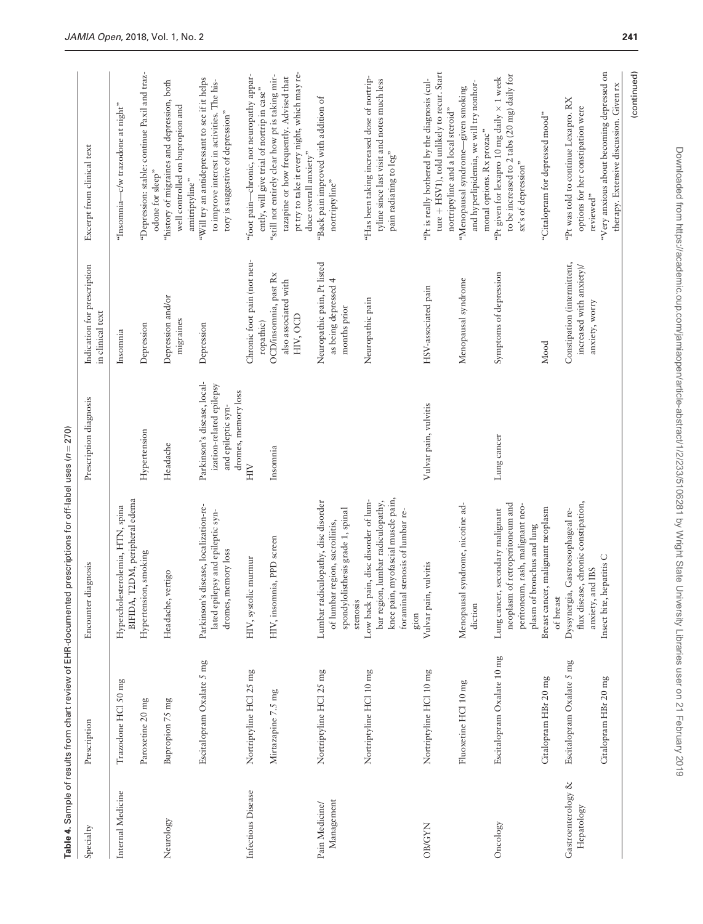<span id="page-10-0"></span>

|                                  |                            | Table 4. Sample of results from chart review of EHR-documented prescriptions for off-label uses (n = 270)                                                      |                                                                                                      |                                                                           |                                                                                                                                                                      |
|----------------------------------|----------------------------|----------------------------------------------------------------------------------------------------------------------------------------------------------------|------------------------------------------------------------------------------------------------------|---------------------------------------------------------------------------|----------------------------------------------------------------------------------------------------------------------------------------------------------------------|
| Specialty                        | Prescription               | diagnosis<br>Encounter                                                                                                                                         | Prescription diagnosis                                                                               | Indication for prescription<br>in clinical text                           | Excerpt from clinical text                                                                                                                                           |
| Internal Medicine                | Trazodone HCl 50 mg        | T2DM, peripheral edema<br>Hypercholesterolemia, HTN, spina<br>BIFIDA,                                                                                          |                                                                                                      | Insomnia                                                                  | "Insomnia-c/w trazodone at night"                                                                                                                                    |
|                                  | Paroxetine 20 mg           | Hypertension, smoking                                                                                                                                          | Hypertension                                                                                         | Depression                                                                | "Depression: stable: continue Paxil and traz-<br>odone for sleep"                                                                                                    |
| Neurology                        | Bupropion 75 mg            | vertigo<br>Headache,                                                                                                                                           | Headache                                                                                             | Depression and/or<br>migraines                                            | "history of migraines and depression, both<br>well controlled on bupropion and<br>amitriptyline"                                                                     |
|                                  | Escitalopram Oxalate 5 mg  | Parkinson's disease, localization-re-<br>lated epilepsy and epileptic syn-<br>dromes, memory loss                                                              | Parkinson's disease, local-<br>ization-related epilepsy<br>dromes, memory loss<br>and epileptic syn- | Depression                                                                | "Will try an antidepressant to see if it helps<br>to improve interest in activities. The his-<br>tory is suggestive of depression"                                   |
| Infectious Disease               | Nortriptyline HCl 25 mg    | HIV, systolic murmur                                                                                                                                           | HIV                                                                                                  | Chronic foot pain (not neu-<br>ropathic)                                  | "foot pain-chronic, not neuropathy appar-<br>ently, will give trial of nortrip in case"                                                                              |
|                                  | Mirtazapine 7.5 mg         | HIV, insomnia, PPD screen                                                                                                                                      | Insomnia                                                                                             | OCD/insomnia, past Rx<br>also associated with<br>HIV, OCD                 | pt try to take it every night, which may re-<br>"still not entirely clear how pt is taking mir-<br>tazapine or how frequently. Advised that<br>duce overall anxiety" |
| Management<br>Pain Medicine/     | Nortriptyline HCl 25 mg    | Lumbar radiculopathy, disc disorder<br>spondylolisthesis grade 1, spinal<br>of lumbar region, sacroiliitis,<br>stenosis                                        |                                                                                                      | Neuropathic pain, Pt listed<br>as being depressed 4<br>months prior       | "Back pain improved with addition of<br>nortriptyline"                                                                                                               |
|                                  | Nortriptyline HCl 10 mg    | knee pain, myofascial muscle pain,<br>bar region, lumbar radiculopathy,<br>pain, disc disorder of lum-<br>foraminal stenosis of lumbar re-<br>Low back<br>gion |                                                                                                      | Neuropathic pain                                                          | "Has been taking increased dose of nortrip-<br>tyline since last visit and notes much less<br>pain radiating to leg"                                                 |
| <b>OB/GYN</b>                    | Nortriptyline HCl 10 mg    | Vulvar pain, vulvitis                                                                                                                                          | Vulvar pain, vulvitis                                                                                | HSV-associated pain                                                       | ture + HSV1), told unlikely to recur. Start<br>"Pt is really bothered by the diagnosis (cul-<br>nortriptyline and a local steroid"                                   |
|                                  | Fluoxetine HCl 10 mg       | Menopausal syndrome, nicotine ad-<br>diction                                                                                                                   |                                                                                                      | Menopausal syndrome                                                       | and hyperlipidemia, we will try nonhor-<br>"Menopausal syndrome-given smoking<br>monal options. Rx prozac"                                                           |
| Oncology                         | Escitalopram Oxalate 10 mg | neoplasm of retroperitoneum and<br>peritoneum, rash, malignant neo-<br>Lung cancer, secondary malignant<br>plasm of bronchus and lung                          | Lung cancer                                                                                          | Symptoms of depression                                                    | to be increased to 2 tabs (20 mg) daily for<br>"Pt given for lexapro 10 mg daily × 1 week<br>sx's of depression"                                                     |
|                                  | Citalopram HBr 20 mg       | Breast cancer, malignant neoplasm<br>of breast                                                                                                                 |                                                                                                      | Mood                                                                      | "Citalopram for depressed mood"                                                                                                                                      |
| Gastroenterology &<br>Hepatology | Escitalopram Oxalate 5 mg  | flux disease, chronic constipation,<br>Dyssynergia, Gastroesophageal re-<br>anxiety, and IBS                                                                   |                                                                                                      | Constipation (intermittent,<br>increased with anxiety)/<br>anxiety, worry | "Pt was told to continue Lexapro. RX<br>options for her constipation were<br>reviewed"                                                                               |
|                                  | Citalopram HBr 20 mg       | hepatitis C<br>Insect bite,                                                                                                                                    |                                                                                                      |                                                                           | "Very anxious about becoming depressed on<br>therapy. Extensive discussion. Given rx                                                                                 |

# (continued) (continued)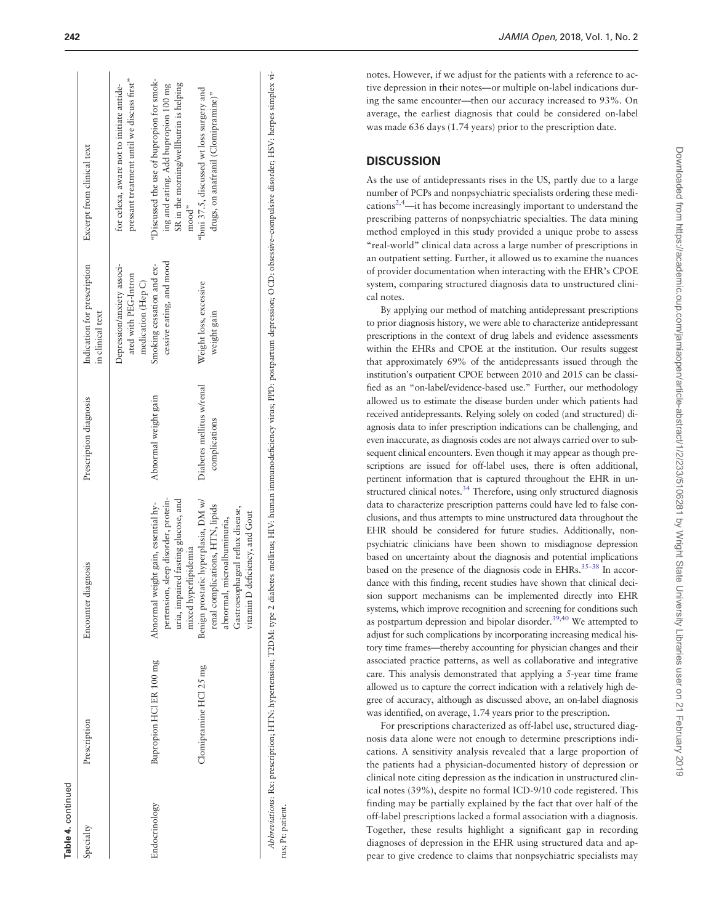| Specialty     | Prescription            | Encounter diagnosis                                                                                                                                                          | Prescription diagnosis                     | Indication for prescription<br>in clinical text                          | Excerpt from clinical text                                                                                                            |
|---------------|-------------------------|------------------------------------------------------------------------------------------------------------------------------------------------------------------------------|--------------------------------------------|--------------------------------------------------------------------------|---------------------------------------------------------------------------------------------------------------------------------------|
|               |                         |                                                                                                                                                                              |                                            | Depression/anxiety associ-<br>ated with PEG-Intron<br>medication (Hep C) | pressant treatment until we discuss first"<br>for celexa, aware not to initiate antide-                                               |
| cndocrinology | Bupropion HCl ER 100 mg | pertension, sleep disorder, protein-<br>uria, impaired fasting glucose, and<br>Abnormal weight gain, essential hy-<br>mixed hyperlipidemia                                   | Abnormal weight gain                       | cessive eating, and mood<br>Smoking cessation and ex-                    | "Discussed the use of bupropion for smok-<br>SR in the morning/wellbutrin is helping<br>ing and eating. Add bupropion 100 mg<br>mood" |
|               | Clomipramine HCl 25 mg  | Benign prostatic hyperplasia, DM w/<br>renal complications, HTN, lipids<br>Gastroesophageal reflux disease,<br>vitamin D deficiency, and Gout<br>abnormal, microalbuminuria, | Diabetes mellitus w/renal<br>complications | Weight loss, excessive<br>weight gain                                    | "bmi 37.5, discussed wt loss surgery and<br>drugs, on anafranil (Clomipramine)"                                                       |
|               |                         |                                                                                                                                                                              |                                            |                                                                          |                                                                                                                                       |

Abbreviations: Rx: prescription; HTN: hypertension; T2DM: type 2 diabetes mellitus; HIV: human immunodeficiency virus; PPD: postpartum depression; OCD: obsessive-compulsive disorder; HSV: herpes simplex vi-Abbreviations: Rx: prescription; HTN: hypertension; T2DM: type 2 diabetes mellitus; HIV: human immunodeficiency virus; PPD: postpartum depression; OCD: obsessive–compulsive disorder; HSV: herpes simplex virus; Pt: patient. rus; Pt: patient notes. However, if we adjust for the patients with a reference to active depression in their notes—or multiple on-label indications during the same encounter—then our accuracy increased to 93%. On average, the earliest diagnosis that could be considered on-label was made 636 days (1.74 years) prior to the prescription date.

### **DISCUSSION**

As the use of antidepressants rises in the US, partly due to a large number of PCPs and nonpsychiatric specialists ordering these medi-cations<sup>[2](#page-13-0),[4](#page-13-0)</sup>—it has become increasingly important to understand the prescribing patterns of nonpsychiatric specialties. The data mining method employed in this study provided a unique probe to assess "real-world" clinical data across a large number of prescriptions in an outpatient setting. Further, it allowed us to examine the nuances of provider documentation when interacting with the EHR's CPOE system, comparing structured diagnosis data to unstructured clinical notes.

By applying our method of matching antidepressant prescriptions to prior diagnosis history, we were able to characterize antidepressant prescriptions in the context of drug labels and evidence assessments within the EHRs and CPOE at the institution. Our results suggest that approximately 69% of the antidepressants issued through the institution's outpatient CPOE between 2010 and 2015 can be classified as an "on-label/evidence-based use." Further, our methodology allowed us to estimate the disease burden under which patients had received antidepressants. Relying solely on coded (and structured) diagnosis data to infer prescription indications can be challenging, and even inaccurate, as diagnosis codes are not always carried over to subsequent clinical encounters. Even though it may appear as though prescriptions are issued for off-label uses, there is often additional, pertinent information that is captured throughout the EHR in un-structured clinical notes.<sup>[34](#page-14-0)</sup> Therefore, using only structured diagnosis data to characterize prescription patterns could have led to false conclusions, and thus attempts to mine unstructured data throughout the EHR should be considered for future studies. Additionally, nonpsychiatric clinicians have been shown to misdiagnose depression based on uncertainty about the diagnosis and potential implications based on the presence of the diagnosis code in EHRs.<sup>35-38</sup> In accordance with this finding, recent studies have shown that clinical decision support mechanisms can be implemented directly into EHR systems, which improve recognition and screening for conditions such as postpartum depression and bipolar disorder.<sup>[39](#page-14-0),[40](#page-14-0)</sup> We attempted to adjust for such complications by incorporating increasing medical history time frames—thereby accounting for physician changes and their associated practice patterns, as well as collaborative and integrative care. This analysis demonstrated that applying a 5-year time frame allowed us to capture the correct indication with a relatively high degree of accuracy, although as discussed above, an on-label diagnosis was identified, on average, 1.74 years prior to the prescription.

For prescriptions characterized as off-label use, structured diagnosis data alone were not enough to determine prescriptions indications. A sensitivity analysis revealed that a large proportion of the patients had a physician-documented history of depression or clinical note citing depression as the indication in unstructured clinical notes (39%), despite no formal ICD-9/10 code registered. This finding may be partially explained by the fact that over half of the off-label prescriptions lacked a formal association with a diagnosis. Together, these results highlight a significant gap in recording diagnoses of depression in the EHR using structured data and appear to give credence to claims that nonpsychiatric specialists may

Table 4. continued

continued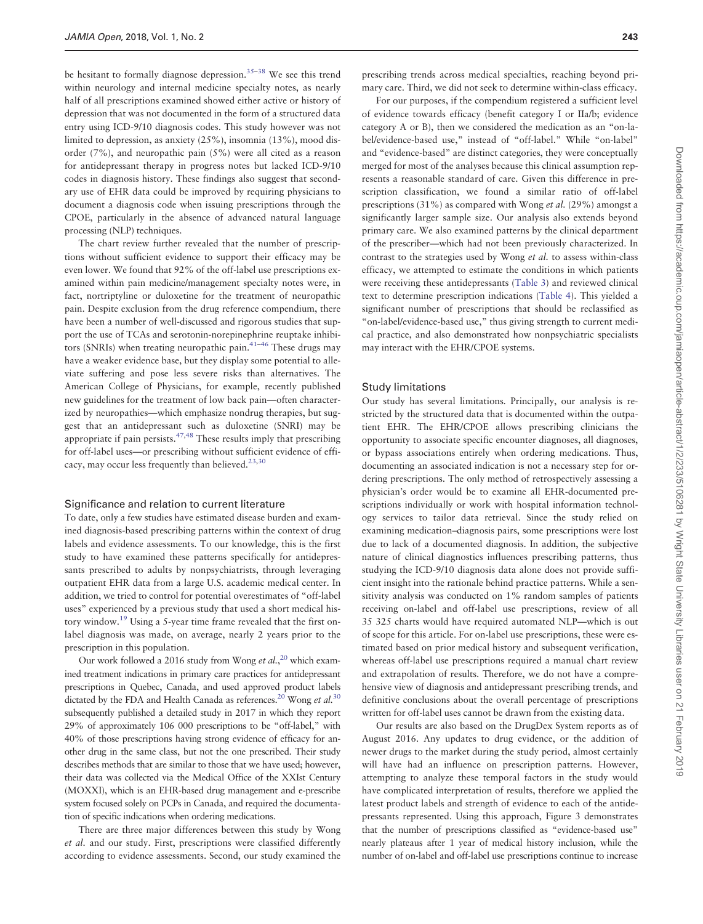be hesitant to formally diagnose depression.<sup>[35–38](#page-14-0)</sup> We see this trend within neurology and internal medicine specialty notes, as nearly half of all prescriptions examined showed either active or history of depression that was not documented in the form of a structured data entry using ICD-9/10 diagnosis codes. This study however was not limited to depression, as anxiety (25%), insomnia (13%), mood disorder (7%), and neuropathic pain (5%) were all cited as a reason for antidepressant therapy in progress notes but lacked ICD-9/10 codes in diagnosis history. These findings also suggest that secondary use of EHR data could be improved by requiring physicians to document a diagnosis code when issuing prescriptions through the CPOE, particularly in the absence of advanced natural language processing (NLP) techniques.

The chart review further revealed that the number of prescriptions without sufficient evidence to support their efficacy may be even lower. We found that 92% of the off-label use prescriptions examined within pain medicine/management specialty notes were, in fact, nortriptyline or duloxetine for the treatment of neuropathic pain. Despite exclusion from the drug reference compendium, there have been a number of well-discussed and rigorous studies that support the use of TCAs and serotonin-norepinephrine reuptake inhibitors (SNRIs) when treating neuropathic pain. $41-46$  These drugs may have a weaker evidence base, but they display some potential to alleviate suffering and pose less severe risks than alternatives. The American College of Physicians, for example, recently published new guidelines for the treatment of low back pain—often characterized by neuropathies—which emphasize nondrug therapies, but suggest that an antidepressant such as duloxetine (SNRI) may be appropriate if pain persists. $47,48$  These results imply that prescribing for off-label uses—or prescribing without sufficient evidence of efficacy, may occur less frequently than believed. $23,30$ 

#### Significance and relation to current literature

To date, only a few studies have estimated disease burden and examined diagnosis-based prescribing patterns within the context of drug labels and evidence assessments. To our knowledge, this is the first study to have examined these patterns specifically for antidepressants prescribed to adults by nonpsychiatrists, through leveraging outpatient EHR data from a large U.S. academic medical center. In addition, we tried to control for potential overestimates of "off-label uses" experienced by a previous study that used a short medical history window[.19](#page-14-0) Using a 5-year time frame revealed that the first onlabel diagnosis was made, on average, nearly 2 years prior to the prescription in this population.

Our work followed a [20](#page-14-0)16 study from Wong et al.,<sup>20</sup> which examined treatment indications in primary care practices for antidepressant prescriptions in Quebec, Canada, and used approved product labels dictated by the FDA and Health Canada as references.<sup>20</sup> Wong et al.<sup>[30](#page-14-0)</sup> subsequently published a detailed study in 2017 in which they report 29% of approximately 106 000 prescriptions to be "off-label," with 40% of those prescriptions having strong evidence of efficacy for another drug in the same class, but not the one prescribed. Their study describes methods that are similar to those that we have used; however, their data was collected via the Medical Office of the XXIst Century (MOXXI), which is an EHR-based drug management and e-prescribe system focused solely on PCPs in Canada, and required the documentation of specific indications when ordering medications.

There are three major differences between this study by Wong et al. and our study. First, prescriptions were classified differently according to evidence assessments. Second, our study examined the

prescribing trends across medical specialties, reaching beyond primary care. Third, we did not seek to determine within-class efficacy.

For our purposes, if the compendium registered a sufficient level of evidence towards efficacy (benefit category I or IIa/b; evidence category A or B), then we considered the medication as an "on-label/evidence-based use," instead of "off-label." While "on-label" and "evidence-based" are distinct categories, they were conceptually merged for most of the analyses because this clinical assumption represents a reasonable standard of care. Given this difference in prescription classification, we found a similar ratio of off-label prescriptions (31%) as compared with Wong et al. (29%) amongst a significantly larger sample size. Our analysis also extends beyond primary care. We also examined patterns by the clinical department of the prescriber—which had not been previously characterized. In contrast to the strategies used by Wong et al. to assess within-class efficacy, we attempted to estimate the conditions in which patients were receiving these antidepressants [\(Table 3\)](#page-8-0) and reviewed clinical text to determine prescription indications ([Table 4\)](#page-10-0). This yielded a significant number of prescriptions that should be reclassified as "on-label/evidence-based use," thus giving strength to current medical practice, and also demonstrated how nonpsychiatric specialists may interact with the EHR/CPOE systems.

#### Study limitations

Our study has several limitations. Principally, our analysis is restricted by the structured data that is documented within the outpatient EHR. The EHR/CPOE allows prescribing clinicians the opportunity to associate specific encounter diagnoses, all diagnoses, or bypass associations entirely when ordering medications. Thus, documenting an associated indication is not a necessary step for ordering prescriptions. The only method of retrospectively assessing a physician's order would be to examine all EHR-documented prescriptions individually or work with hospital information technology services to tailor data retrieval. Since the study relied on examining medication–diagnosis pairs, some prescriptions were lost due to lack of a documented diagnosis. In addition, the subjective nature of clinical diagnostics influences prescribing patterns, thus studying the ICD-9/10 diagnosis data alone does not provide sufficient insight into the rationale behind practice patterns. While a sensitivity analysis was conducted on 1% random samples of patients receiving on-label and off-label use prescriptions, review of all 35 325 charts would have required automated NLP—which is out of scope for this article. For on-label use prescriptions, these were estimated based on prior medical history and subsequent verification, whereas off-label use prescriptions required a manual chart review and extrapolation of results. Therefore, we do not have a comprehensive view of diagnosis and antidepressant prescribing trends, and definitive conclusions about the overall percentage of prescriptions written for off-label uses cannot be drawn from the existing data.

Our results are also based on the DrugDex System reports as of August 2016. Any updates to drug evidence, or the addition of newer drugs to the market during the study period, almost certainly will have had an influence on prescription patterns. However, attempting to analyze these temporal factors in the study would have complicated interpretation of results, therefore we applied the latest product labels and strength of evidence to each of the antidepressants represented. Using this approach, Figure 3 demonstrates that the number of prescriptions classified as "evidence-based use" nearly plateaus after 1 year of medical history inclusion, while the number of on-label and off-label use prescriptions continue to increase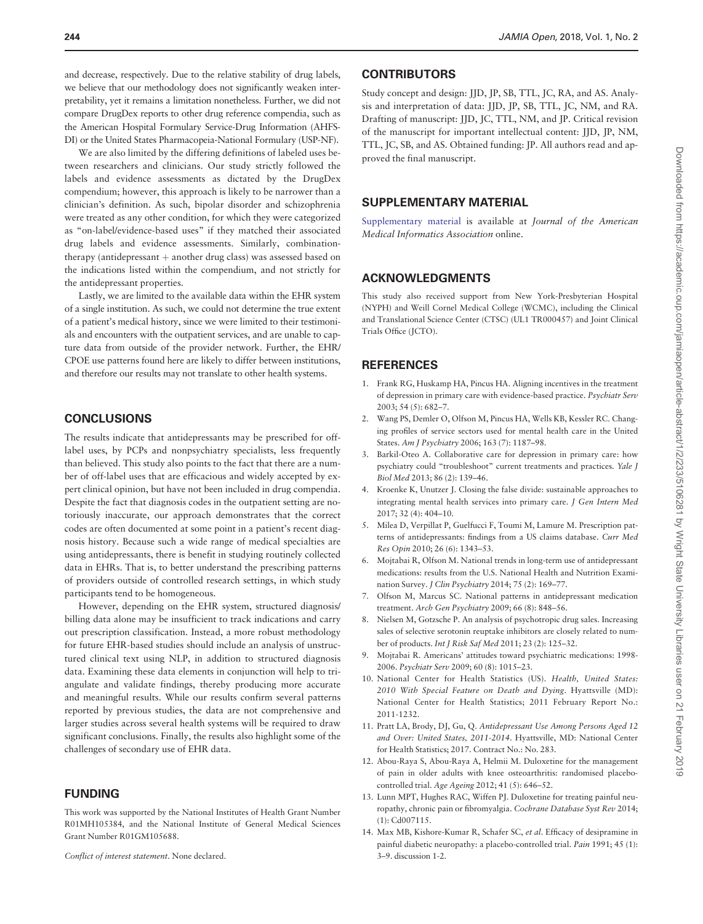<span id="page-13-0"></span>and decrease, respectively. Due to the relative stability of drug labels, we believe that our methodology does not significantly weaken interpretability, yet it remains a limitation nonetheless. Further, we did not compare DrugDex reports to other drug reference compendia, such as the American Hospital Formulary Service-Drug Information (AHFS-DI) or the United States Pharmacopeia-National Formulary (USP-NF).

We are also limited by the differing definitions of labeled uses between researchers and clinicians. Our study strictly followed the labels and evidence assessments as dictated by the DrugDex compendium; however, this approach is likely to be narrower than a clinician's definition. As such, bipolar disorder and schizophrenia were treated as any other condition, for which they were categorized as "on-label/evidence-based uses" if they matched their associated drug labels and evidence assessments. Similarly, combinationtherapy (antidepressant  $+$  another drug class) was assessed based on the indications listed within the compendium, and not strictly for the antidepressant properties.

Lastly, we are limited to the available data within the EHR system of a single institution. As such, we could not determine the true extent of a patient's medical history, since we were limited to their testimonials and encounters with the outpatient services, and are unable to capture data from outside of the provider network. Further, the EHR/ CPOE use patterns found here are likely to differ between institutions, and therefore our results may not translate to other health systems.

#### **CONCLUSIONS**

The results indicate that antidepressants may be prescribed for offlabel uses, by PCPs and nonpsychiatry specialists, less frequently than believed. This study also points to the fact that there are a number of off-label uses that are efficacious and widely accepted by expert clinical opinion, but have not been included in drug compendia. Despite the fact that diagnosis codes in the outpatient setting are notoriously inaccurate, our approach demonstrates that the correct codes are often documented at some point in a patient's recent diagnosis history. Because such a wide range of medical specialties are using antidepressants, there is benefit in studying routinely collected data in EHRs. That is, to better understand the prescribing patterns of providers outside of controlled research settings, in which study participants tend to be homogeneous.

However, depending on the EHR system, structured diagnosis/ billing data alone may be insufficient to track indications and carry out prescription classification. Instead, a more robust methodology for future EHR-based studies should include an analysis of unstructured clinical text using NLP, in addition to structured diagnosis data. Examining these data elements in conjunction will help to triangulate and validate findings, thereby producing more accurate and meaningful results. While our results confirm several patterns reported by previous studies, the data are not comprehensive and larger studies across several health systems will be required to draw significant conclusions. Finally, the results also highlight some of the challenges of secondary use of EHR data.

#### FUNDING

This work was supported by the National Institutes of Health Grant Number R01MH105384, and the National Institute of General Medical Sciences Grant Number R01GM105688.

Conflict of interest statement. None declared.

#### **CONTRIBUTORS**

Study concept and design: JJD, JP, SB, TTL, JC, RA, and AS. Analysis and interpretation of data: JJD, JP, SB, TTL, JC, NM, and RA. Drafting of manuscript: JJD, JC, TTL, NM, and JP. Critical revision of the manuscript for important intellectual content: JJD, JP, NM, TTL, JC, SB, and AS. Obtained funding: JP. All authors read and approved the final manuscript.

#### SUPPLEMENTARY MATERIAL

[Supplementary material](https://academic.oup.com/jamiaopen/article-lookup/doi/10.1093/jamiaopen/ooy037#supplementary-data) is available at Journal of the American Medical Informatics Association online.

## ACKNOWLEDGMENTS

This study also received support from New York-Presbyterian Hospital (NYPH) and Weill Cornel Medical College (WCMC), including the Clinical and Translational Science Center (CTSC) (UL1 TR000457) and Joint Clinical Trials Office (JCTO).

#### **REFERENCES**

- 1. Frank RG, Huskamp HA, Pincus HA. Aligning incentives in the treatment of depression in primary care with evidence-based practice. Psychiatr Serv 2003; 54 (5): 682–7.
- 2. Wang PS, Demler O, Olfson M, Pincus HA, Wells KB, Kessler RC. Changing profiles of service sectors used for mental health care in the United States. Am J Psychiatry 2006; 163 (7): 1187–98.
- 3. Barkil-Oteo A. Collaborative care for depression in primary care: how psychiatry could "troubleshoot" current treatments and practices. Yale J Biol Med 2013; 86 (2): 139–46.
- 4. Kroenke K, Unutzer J. Closing the false divide: sustainable approaches to integrating mental health services into primary care. J Gen Intern Med 2017; 32 (4): 404–10.
- 5. Milea D, Verpillat P, Guelfucci F, Toumi M, Lamure M. Prescription patterns of antidepressants: findings from a US claims database. Curr Med Res Opin 2010; 26 (6): 1343–53.
- 6. Mojtabai R, Olfson M. National trends in long-term use of antidepressant medications: results from the U.S. National Health and Nutrition Examination Survey. J Clin Psychiatry 2014; 75 (2): 169–77.
- 7. Olfson M, Marcus SC. National patterns in antidepressant medication treatment. Arch Gen Psychiatry 2009; 66 (8): 848–56.
- 8. Nielsen M, Gotzsche P. An analysis of psychotropic drug sales. Increasing sales of selective serotonin reuptake inhibitors are closely related to number of products. Int J Risk Saf Med 2011; 23 (2): 125–32.
- 9. Mojtabai R. Americans' attitudes toward psychiatric medications: 1998- 2006. Psychiatr Serv 2009; 60 (8): 1015–23.
- 10. National Center for Health Statistics (US). Health, United States: 2010 With Special Feature on Death and Dying. Hyattsville (MD): National Center for Health Statistics; 2011 February Report No.: 2011-1232.
- 11. Pratt LA, Brody, DJ, Gu, Q. Antidepressant Use Among Persons Aged 12 and Over: United States, 2011-2014. Hyattsville, MD: National Center for Health Statistics; 2017. Contract No.: No. 283.
- 12. Abou-Raya S, Abou-Raya A, Helmii M. Duloxetine for the management of pain in older adults with knee osteoarthritis: randomised placebocontrolled trial. Age Ageing 2012; 41 (5): 646–52.
- 13. Lunn MPT, Hughes RAC, Wiffen PJ. Duloxetine for treating painful neuropathy, chronic pain or fibromyalgia. Cochrane Database Syst Rev 2014; (1): Cd007115.
- 14. Max MB, Kishore-Kumar R, Schafer SC, et al. Efficacy of desipramine in painful diabetic neuropathy: a placebo-controlled trial. Pain 1991; 45 (1): 3–9. discussion 1-2.